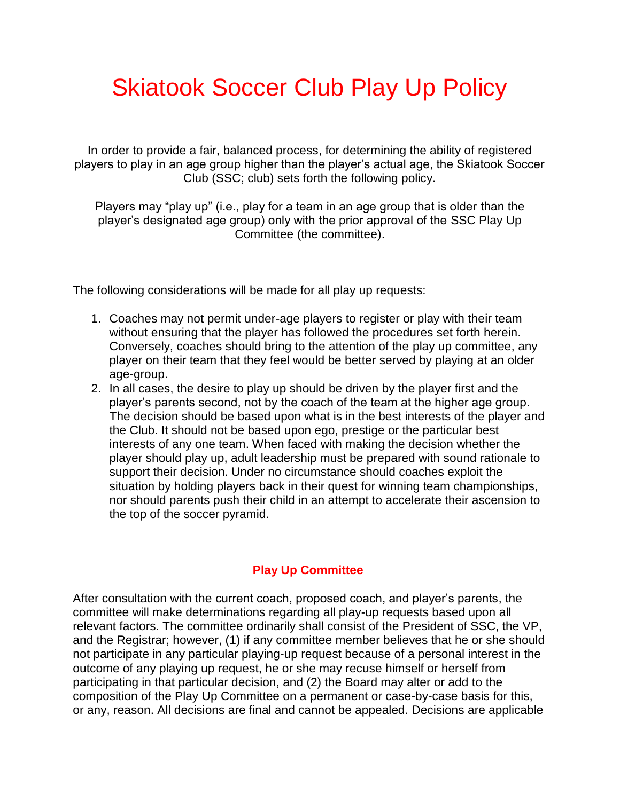## Skiatook Soccer Club Play Up Policy

In order to provide a fair, balanced process, for determining the ability of registered players to play in an age group higher than the player's actual age, the Skiatook Soccer Club (SSC; club) sets forth the following policy.

Players may "play up" (i.e., play for a team in an age group that is older than the player's designated age group) only with the prior approval of the SSC Play Up Committee (the committee).

The following considerations will be made for all play up requests:

- 1. Coaches may not permit under-age players to register or play with their team without ensuring that the player has followed the procedures set forth herein. Conversely, coaches should bring to the attention of the play up committee, any player on their team that they feel would be better served by playing at an older age-group.
- 2. In all cases, the desire to play up should be driven by the player first and the player's parents second, not by the coach of the team at the higher age group. The decision should be based upon what is in the best interests of the player and the Club. It should not be based upon ego, prestige or the particular best interests of any one team. When faced with making the decision whether the player should play up, adult leadership must be prepared with sound rationale to support their decision. Under no circumstance should coaches exploit the situation by holding players back in their quest for winning team championships, nor should parents push their child in an attempt to accelerate their ascension to the top of the soccer pyramid.

## **Play Up Committee**

After consultation with the current coach, proposed coach, and player's parents, the committee will make determinations regarding all play-up requests based upon all relevant factors. The committee ordinarily shall consist of the President of SSC, the VP, and the Registrar; however, (1) if any committee member believes that he or she should not participate in any particular playing-up request because of a personal interest in the outcome of any playing up request, he or she may recuse himself or herself from participating in that particular decision, and (2) the Board may alter or add to the composition of the Play Up Committee on a permanent or case-by-case basis for this, or any, reason. All decisions are final and cannot be appealed. Decisions are applicable